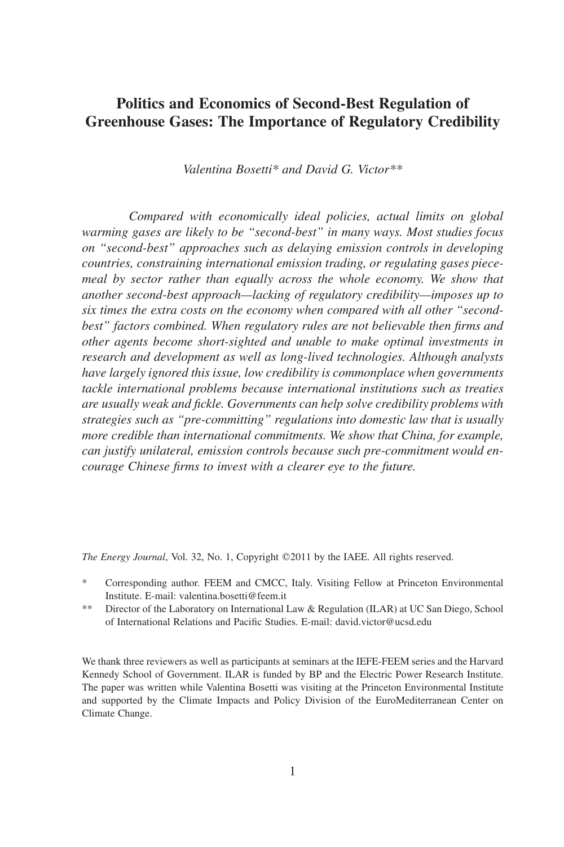# **Politics and Economics of Second-Best Regulation of Greenhouse Gases: The Importance of Regulatory Credibility**

*Valentina Bosetti\* and David G. Victor\*\**

*Compared with economically ideal policies, actual limits on global warming gases are likely to be "second-best" in many ways. Most studies focus on "second-best" approaches such as delaying emission controls in developing countries, constraining international emission trading, or regulating gases piecemeal by sector rather than equally across the whole economy. We show that another second-best approach—lacking of regulatory credibility—imposes up to six times the extra costs on the economy when compared with all other "secondbest" factors combined. When regulatory rules are not believable then firms and other agents become short-sighted and unable to make optimal investments in research and development as well as long-lived technologies. Although analysts have largely ignored this issue, low credibility is commonplace when governments tackle international problems because international institutions such as treaties are usually weak and fickle. Governments can help solve credibility problems with strategies such as "pre-committing" regulations into domestic law that is usually more credible than international commitments. We show that China, for example, can justify unilateral, emission controls because such pre-commitment would encourage Chinese firms to invest with a clearer eye to the future.*

The Energy Journal, Vol. 32, No. 1, Copyright ©2011 by the IAEE. All rights reserved.

- \* Corresponding author. FEEM and CMCC, Italy. Visiting Fellow at Princeton Environmental Institute. E-mail: valentina.bosetti@feem.it
- \*\* Director of the Laboratory on International Law & Regulation (ILAR) at UC San Diego, School of International Relations and Pacific Studies. E-mail: david.victor@ucsd.edu

We thank three reviewers as well as participants at seminars at the IEFE-FEEM series and the Harvard Kennedy School of Government. ILAR is funded by BP and the Electric Power Research Institute. The paper was written while Valentina Bosetti was visiting at the Princeton Environmental Institute and supported by the Climate Impacts and Policy Division of the EuroMediterranean Center on Climate Change.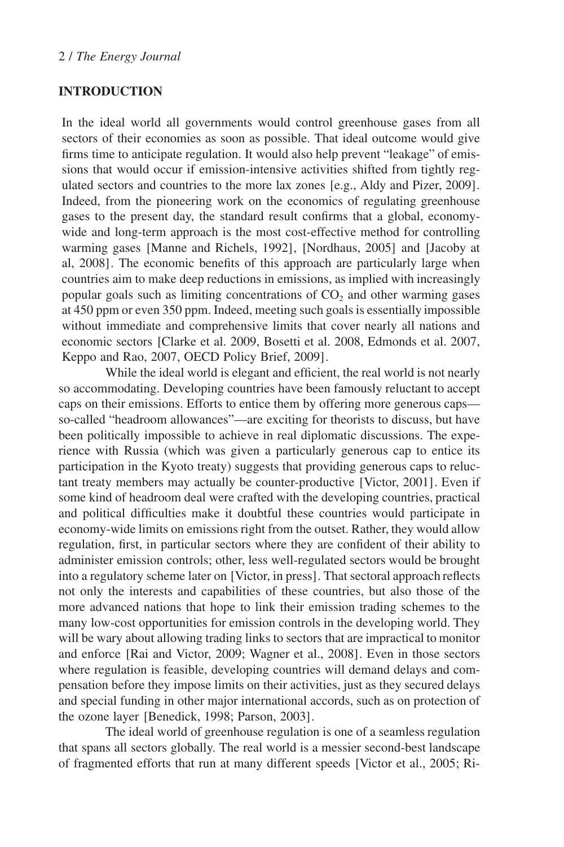## **INTRODUCTION**

In the ideal world all governments would control greenhouse gases from all sectors of their economies as soon as possible. That ideal outcome would give firms time to anticipate regulation. It would also help prevent "leakage" of emissions that would occur if emission-intensive activities shifted from tightly regulated sectors and countries to the more lax zones [e.g., Aldy and Pizer, 2009]. Indeed, from the pioneering work on the economics of regulating greenhouse gases to the present day, the standard result confirms that a global, economywide and long-term approach is the most cost-effective method for controlling warming gases [Manne and Richels, 1992], [Nordhaus, 2005] and [Jacoby at al, 2008]. The economic benefits of this approach are particularly large when countries aim to make deep reductions in emissions, as implied with increasingly popular goals such as limiting concentrations of  $CO<sub>2</sub>$  and other warming gases at 450 ppm or even 350 ppm. Indeed, meeting such goals is essentially impossible without immediate and comprehensive limits that cover nearly all nations and economic sectors [Clarke et al. 2009, Bosetti et al. 2008, Edmonds et al. 2007, Keppo and Rao, 2007, OECD Policy Brief, 2009].

While the ideal world is elegant and efficient, the real world is not nearly so accommodating. Developing countries have been famously reluctant to accept caps on their emissions. Efforts to entice them by offering more generous caps so-called "headroom allowances"—are exciting for theorists to discuss, but have been politically impossible to achieve in real diplomatic discussions. The experience with Russia (which was given a particularly generous cap to entice its participation in the Kyoto treaty) suggests that providing generous caps to reluctant treaty members may actually be counter-productive [Victor, 2001]. Even if some kind of headroom deal were crafted with the developing countries, practical and political difficulties make it doubtful these countries would participate in economy-wide limits on emissions right from the outset. Rather, they would allow regulation, first, in particular sectors where they are confident of their ability to administer emission controls; other, less well-regulated sectors would be brought into a regulatory scheme later on [Victor, in press]. That sectoral approach reflects not only the interests and capabilities of these countries, but also those of the more advanced nations that hope to link their emission trading schemes to the many low-cost opportunities for emission controls in the developing world. They will be wary about allowing trading links to sectors that are impractical to monitor and enforce [Rai and Victor, 2009; Wagner et al., 2008]. Even in those sectors where regulation is feasible, developing countries will demand delays and compensation before they impose limits on their activities, just as they secured delays and special funding in other major international accords, such as on protection of the ozone layer [Benedick, 1998; Parson, 2003].

The ideal world of greenhouse regulation is one of a seamless regulation that spans all sectors globally. The real world is a messier second-best landscape of fragmented efforts that run at many different speeds [Victor et al., 2005; Ri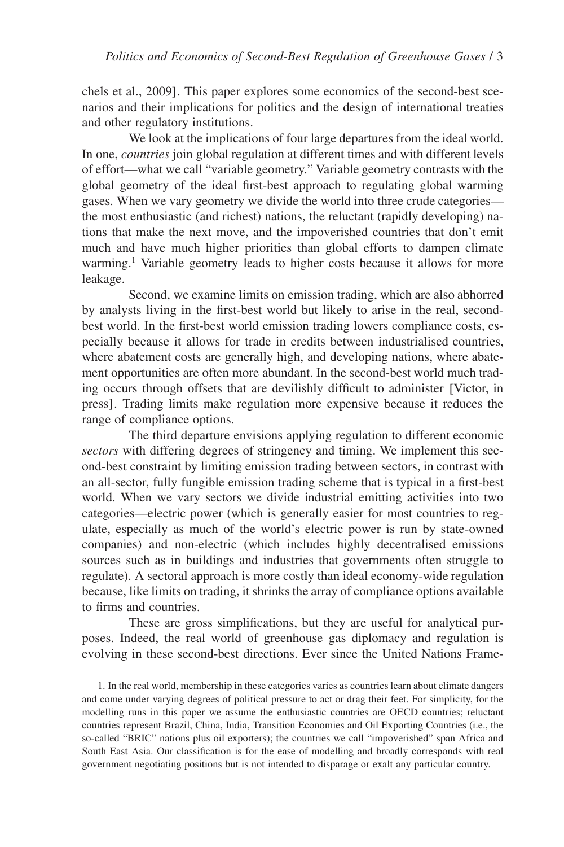chels et al., 2009]. This paper explores some economics of the second-best scenarios and their implications for politics and the design of international treaties and other regulatory institutions.

We look at the implications of four large departures from the ideal world. In one, *countries* join global regulation at different times and with different levels of effort—what we call "variable geometry." Variable geometry contrasts with the global geometry of the ideal first-best approach to regulating global warming gases. When we vary geometry we divide the world into three crude categories the most enthusiastic (and richest) nations, the reluctant (rapidly developing) nations that make the next move, and the impoverished countries that don't emit much and have much higher priorities than global efforts to dampen climate warming.<sup>1</sup> Variable geometry leads to higher costs because it allows for more leakage.

Second, we examine limits on emission trading, which are also abhorred by analysts living in the first-best world but likely to arise in the real, secondbest world. In the first-best world emission trading lowers compliance costs, especially because it allows for trade in credits between industrialised countries, where abatement costs are generally high, and developing nations, where abatement opportunities are often more abundant. In the second-best world much trading occurs through offsets that are devilishly difficult to administer [Victor, in press]. Trading limits make regulation more expensive because it reduces the range of compliance options.

The third departure envisions applying regulation to different economic *sectors* with differing degrees of stringency and timing. We implement this second-best constraint by limiting emission trading between sectors, in contrast with an all-sector, fully fungible emission trading scheme that is typical in a first-best world. When we vary sectors we divide industrial emitting activities into two categories—electric power (which is generally easier for most countries to regulate, especially as much of the world's electric power is run by state-owned companies) and non-electric (which includes highly decentralised emissions sources such as in buildings and industries that governments often struggle to regulate). A sectoral approach is more costly than ideal economy-wide regulation because, like limits on trading, it shrinks the array of compliance options available to firms and countries.

These are gross simplifications, but they are useful for analytical purposes. Indeed, the real world of greenhouse gas diplomacy and regulation is evolving in these second-best directions. Ever since the United Nations Frame-

1. In the real world, membership in these categories varies as countries learn about climate dangers and come under varying degrees of political pressure to act or drag their feet. For simplicity, for the modelling runs in this paper we assume the enthusiastic countries are OECD countries; reluctant countries represent Brazil, China, India, Transition Economies and Oil Exporting Countries (i.e., the so-called "BRIC" nations plus oil exporters); the countries we call "impoverished" span Africa and South East Asia. Our classification is for the ease of modelling and broadly corresponds with real government negotiating positions but is not intended to disparage or exalt any particular country.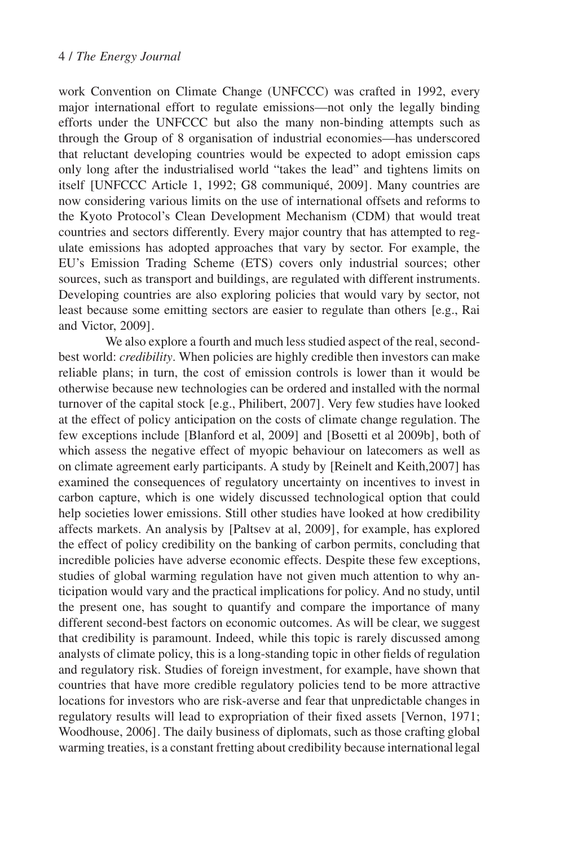work Convention on Climate Change (UNFCCC) was crafted in 1992, every major international effort to regulate emissions—not only the legally binding efforts under the UNFCCC but also the many non-binding attempts such as through the Group of 8 organisation of industrial economies—has underscored that reluctant developing countries would be expected to adopt emission caps only long after the industrialised world "takes the lead" and tightens limits on itself [UNFCCC Article 1, 1992; G8 communiqué, 2009]. Many countries are now considering various limits on the use of international offsets and reforms to the Kyoto Protocol's Clean Development Mechanism (CDM) that would treat countries and sectors differently. Every major country that has attempted to regulate emissions has adopted approaches that vary by sector. For example, the EU's Emission Trading Scheme (ETS) covers only industrial sources; other sources, such as transport and buildings, are regulated with different instruments. Developing countries are also exploring policies that would vary by sector, not least because some emitting sectors are easier to regulate than others [e.g., Rai and Victor, 2009].

We also explore a fourth and much less studied aspect of the real, secondbest world: *credibility*. When policies are highly credible then investors can make reliable plans; in turn, the cost of emission controls is lower than it would be otherwise because new technologies can be ordered and installed with the normal turnover of the capital stock [e.g., Philibert, 2007]. Very few studies have looked at the effect of policy anticipation on the costs of climate change regulation. The few exceptions include [Blanford et al, 2009] and [Bosetti et al 2009b], both of which assess the negative effect of myopic behaviour on latecomers as well as on climate agreement early participants. A study by [Reinelt and Keith,2007] has examined the consequences of regulatory uncertainty on incentives to invest in carbon capture, which is one widely discussed technological option that could help societies lower emissions. Still other studies have looked at how credibility affects markets. An analysis by [Paltsev at al, 2009], for example, has explored the effect of policy credibility on the banking of carbon permits, concluding that incredible policies have adverse economic effects. Despite these few exceptions, studies of global warming regulation have not given much attention to why anticipation would vary and the practical implications for policy. And no study, until the present one, has sought to quantify and compare the importance of many different second-best factors on economic outcomes. As will be clear, we suggest that credibility is paramount. Indeed, while this topic is rarely discussed among analysts of climate policy, this is a long-standing topic in other fields of regulation and regulatory risk. Studies of foreign investment, for example, have shown that countries that have more credible regulatory policies tend to be more attractive locations for investors who are risk-averse and fear that unpredictable changes in regulatory results will lead to expropriation of their fixed assets [Vernon, 1971; Woodhouse, 2006]. The daily business of diplomats, such as those crafting global warming treaties, is a constant fretting about credibility because internationallegal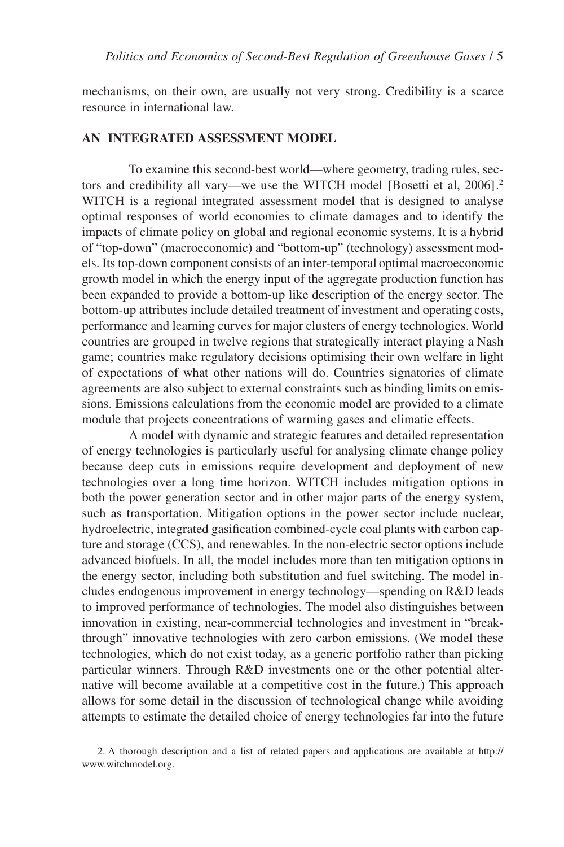mechanisms, on their own, are usually not very strong. Credibility is a scarce resource in international law.

#### **AN INTEGRATED ASSESSMENT MODEL**

To examine this second-best world—where geometry, trading rules, sectors and credibility all vary—we use the WITCH model [Bosetti et al, 2006].<sup>2</sup> WITCH is a regional integrated assessment model that is designed to analyse optimal responses of world economies to climate damages and to identify the impacts of climate policy on global and regional economic systems. It is a hybrid of "top-down" (macroeconomic) and "bottom-up" (technology) assessment models. Its top-down component consists of an inter-temporal optimal macroeconomic growth model in which the energy input of the aggregate production function has been expanded to provide a bottom-up like description of the energy sector. The bottom-up attributes include detailed treatment of investment and operating costs, performance and learning curves for major clusters of energy technologies. World countries are grouped in twelve regions that strategically interact playing a Nash game; countries make regulatory decisions optimising their own welfare in light of expectations of what other nations will do. Countries signatories of climate agreements are also subject to external constraints such as binding limits on emissions. Emissions calculations from the economic model are provided to a climate module that projects concentrations of warming gases and climatic effects.

A model with dynamic and strategic features and detailed representation of energy technologies is particularly useful for analysing climate change policy because deep cuts in emissions require development and deployment of new technologies over a long time horizon. WITCH includes mitigation options in both the power generation sector and in other major parts of the energy system, such as transportation. Mitigation options in the power sector include nuclear, hydroelectric, integrated gasification combined-cycle coal plants with carbon capture and storage (CCS), and renewables. In the non-electric sector options include advanced biofuels. In all, the model includes more than ten mitigation options in the energy sector, including both substitution and fuel switching. The model includes endogenous improvement in energy technology—spending on R&D leads to improved performance of technologies. The model also distinguishes between innovation in existing, near-commercial technologies and investment in "breakthrough" innovative technologies with zero carbon emissions. (We model these technologies, which do not exist today, as a generic portfolio rather than picking particular winners. Through R&D investments one or the other potential alternative will become available at a competitive cost in the future.) This approach allows for some detail in the discussion of technological change while avoiding attempts to estimate the detailed choice of energy technologies far into the future

<sup>2.</sup> A thorough description and a list of related papers and applications are available at http:// www.witchmodel.org.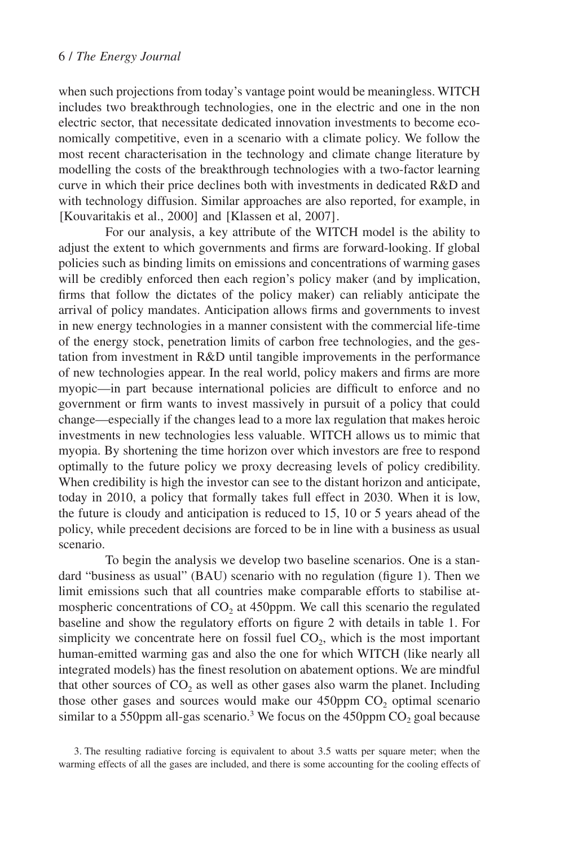when such projections from today's vantage point would be meaningless. WITCH includes two breakthrough technologies, one in the electric and one in the non electric sector, that necessitate dedicated innovation investments to become economically competitive, even in a scenario with a climate policy. We follow the most recent characterisation in the technology and climate change literature by modelling the costs of the breakthrough technologies with a two-factor learning curve in which their price declines both with investments in dedicated R&D and with technology diffusion. Similar approaches are also reported, for example, in [Kouvaritakis et al., 2000] and [Klassen et al, 2007].

For our analysis, a key attribute of the WITCH model is the ability to adjust the extent to which governments and firms are forward-looking. If global policies such as binding limits on emissions and concentrations of warming gases will be credibly enforced then each region's policy maker (and by implication, firms that follow the dictates of the policy maker) can reliably anticipate the arrival of policy mandates. Anticipation allows firms and governments to invest in new energy technologies in a manner consistent with the commercial life-time of the energy stock, penetration limits of carbon free technologies, and the gestation from investment in R&D until tangible improvements in the performance of new technologies appear. In the real world, policy makers and firms are more myopic—in part because international policies are difficult to enforce and no government or firm wants to invest massively in pursuit of a policy that could change—especially if the changes lead to a more lax regulation that makes heroic investments in new technologies less valuable. WITCH allows us to mimic that myopia. By shortening the time horizon over which investors are free to respond optimally to the future policy we proxy decreasing levels of policy credibility. When credibility is high the investor can see to the distant horizon and anticipate, today in 2010, a policy that formally takes full effect in 2030. When it is low, the future is cloudy and anticipation is reduced to 15, 10 or 5 years ahead of the policy, while precedent decisions are forced to be in line with a business as usual scenario.

To begin the analysis we develop two baseline scenarios. One is a standard "business as usual" (BAU) scenario with no regulation (figure 1). Then we limit emissions such that all countries make comparable efforts to stabilise atmospheric concentrations of  $CO<sub>2</sub>$  at 450ppm. We call this scenario the regulated baseline and show the regulatory efforts on figure 2 with details in table 1. For simplicity we concentrate here on fossil fuel  $CO<sub>2</sub>$ , which is the most important human-emitted warming gas and also the one for which WITCH (like nearly all integrated models) has the finest resolution on abatement options. We are mindful that other sources of  $CO<sub>2</sub>$  as well as other gases also warm the planet. Including those other gases and sources would make our  $450$ ppm  $CO<sub>2</sub>$  optimal scenario similar to a 550ppm all-gas scenario.<sup>3</sup> We focus on the 450ppm  $CO<sub>2</sub>$  goal because

3. The resulting radiative forcing is equivalent to about 3.5 watts per square meter; when the warming effects of all the gases are included, and there is some accounting for the cooling effects of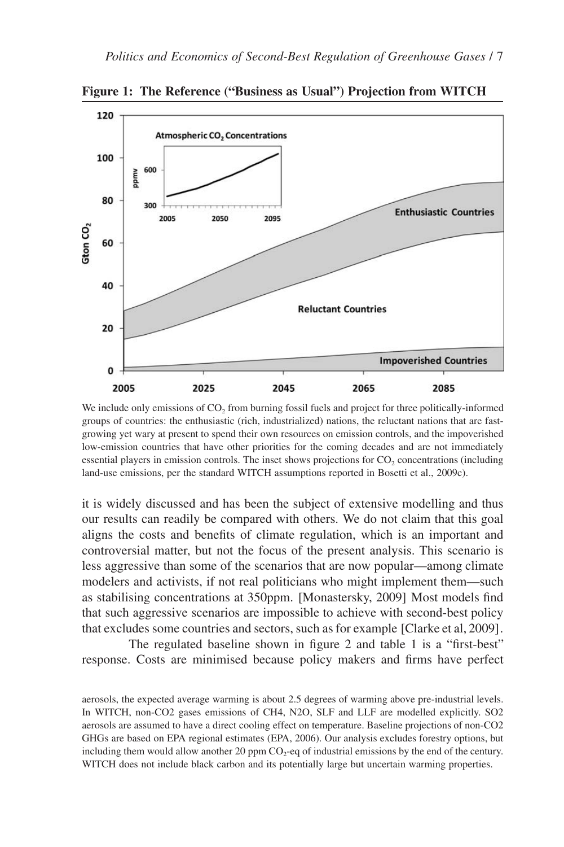

**Figure 1: The Reference ("Business as Usual") Projection from WITCH**

We include only emissions of  $CO<sub>2</sub>$  from burning fossil fuels and project for three politically-informed groups of countries: the enthusiastic (rich, industrialized) nations, the reluctant nations that are fastgrowing yet wary at present to spend their own resources on emission controls, and the impoverished low-emission countries that have other priorities for the coming decades and are not immediately essential players in emission controls. The inset shows projections for CO<sub>2</sub> concentrations (including land-use emissions, per the standard WITCH assumptions reported in Bosetti et al., 2009c).

it is widely discussed and has been the subject of extensive modelling and thus our results can readily be compared with others. We do not claim that this goal aligns the costs and benefits of climate regulation, which is an important and controversial matter, but not the focus of the present analysis. This scenario is less aggressive than some of the scenarios that are now popular—among climate modelers and activists, if not real politicians who might implement them—such as stabilising concentrations at 350ppm. [Monastersky, 2009] Most models find that such aggressive scenarios are impossible to achieve with second-best policy that excludes some countries and sectors, such as for example [Clarke et al, 2009].

The regulated baseline shown in figure 2 and table 1 is a "first-best" response. Costs are minimised because policy makers and firms have perfect

aerosols, the expected average warming is about 2.5 degrees of warming above pre-industrial levels. In WITCH, non-CO2 gases emissions of CH4, N2O, SLF and LLF are modelled explicitly. SO2 aerosols are assumed to have a direct cooling effect on temperature. Baseline projections of non-CO2 GHGs are based on EPA regional estimates (EPA, 2006). Our analysis excludes forestry options, but including them would allow another 20 ppm  $CO<sub>2</sub>$ -eq of industrial emissions by the end of the century. WITCH does not include black carbon and its potentially large but uncertain warming properties.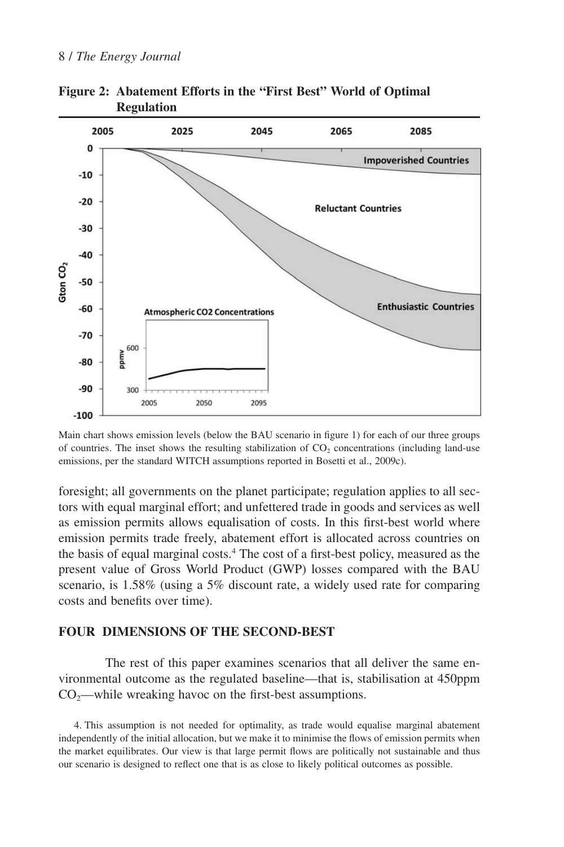

**Figure 2: Abatement Efforts in the "First Best" World of Optimal Regulation**

Main chart shows emission levels (below the BAU scenario in figure 1) for each of our three groups of countries. The inset shows the resulting stabilization of  $CO<sub>2</sub>$  concentrations (including land-use emissions, per the standard WITCH assumptions reported in Bosetti et al., 2009c).

foresight; all governments on the planet participate; regulation applies to all sectors with equal marginal effort; and unfettered trade in goods and services as well as emission permits allows equalisation of costs. In this first-best world where emission permits trade freely, abatement effort is allocated across countries on the basis of equal marginal costs.4 The cost of a first-best policy, measured as the present value of Gross World Product (GWP) losses compared with the BAU scenario, is 1.58% (using a 5% discount rate, a widely used rate for comparing costs and benefits over time).

### **FOUR DIMENSIONS OF THE SECOND-BEST**

The rest of this paper examines scenarios that all deliver the same environmental outcome as the regulated baseline—that is, stabilisation at 450ppm  $CO<sub>3</sub>$ —while wreaking havoc on the first-best assumptions.

4. This assumption is not needed for optimality, as trade would equalise marginal abatement independently of the initial allocation, but we make it to minimise the flows of emission permits when the market equilibrates. Our view is that large permit flows are politically not sustainable and thus our scenario is designed to reflect one that is as close to likely political outcomes as possible.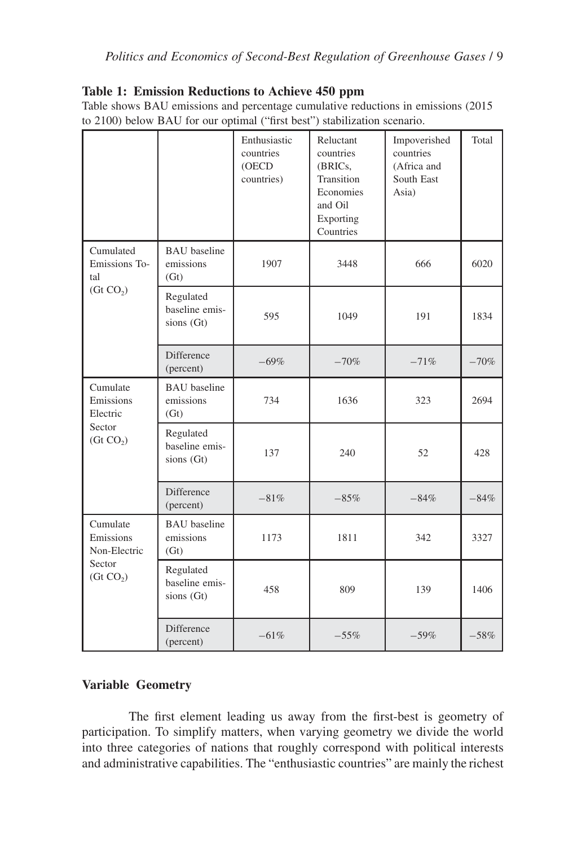## **Table 1: Emission Reductions to Achieve 450 ppm**

Table shows BAU emissions and percentage cumulative reductions in emissions (2015 to 2100) below BAU for our optimal ("first best") stabilization scenario.

|                                                                          |                                           | Enthusiastic<br>countries<br>(OECD<br>countries) | Reluctant<br>countries<br>(BRICs,<br>Transition<br>Economies<br>and Oil<br>Exporting<br>Countries | Impoverished<br>countries<br>(Africa and<br>South East<br>Asia) | Total  |
|--------------------------------------------------------------------------|-------------------------------------------|--------------------------------------------------|---------------------------------------------------------------------------------------------------|-----------------------------------------------------------------|--------|
| Cumulated<br>Emissions To-<br>tal<br>(Gt CO <sub>2</sub> )               | <b>BAU</b> baseline<br>emissions<br>(Gt)  | 1907                                             | 3448                                                                                              | 666                                                             | 6020   |
|                                                                          | Regulated<br>baseline emis-<br>sions (Gt) | 595                                              | 1049                                                                                              | 191                                                             | 1834   |
|                                                                          | Difference<br>(percent)                   | $-69%$                                           | $-70%$                                                                                            | $-71%$                                                          | $-70%$ |
| Cumulate<br>Emissions<br>Electric<br>Sector<br>$($ Gt $CO2)$             | <b>BAU</b> baseline<br>emissions<br>(Gt)  | 734                                              | 1636                                                                                              | 323                                                             | 2694   |
|                                                                          | Regulated<br>baseline emis-<br>sions (Gt) | 137                                              | 240                                                                                               | 52                                                              | 428    |
|                                                                          | Difference<br>(percent)                   | $-81%$                                           | $-85%$                                                                                            | $-84%$                                                          | $-84%$ |
| Cumulate<br>Emissions<br>Non-Electric<br>Sector<br>(Gt CO <sub>2</sub> ) | <b>BAU</b> baseline<br>emissions<br>(Gt)  | 1173                                             | 1811                                                                                              | 342                                                             | 3327   |
|                                                                          | Regulated<br>baseline emis-<br>sions (Gt) | 458                                              | 809                                                                                               | 139                                                             | 1406   |
|                                                                          | Difference<br>(percent)                   | $-61%$                                           | $-55%$                                                                                            | $-59%$                                                          | $-58%$ |

## **Variable Geometry**

The first element leading us away from the first-best is geometry of participation. To simplify matters, when varying geometry we divide the world into three categories of nations that roughly correspond with political interests and administrative capabilities. The "enthusiastic countries" are mainly the richest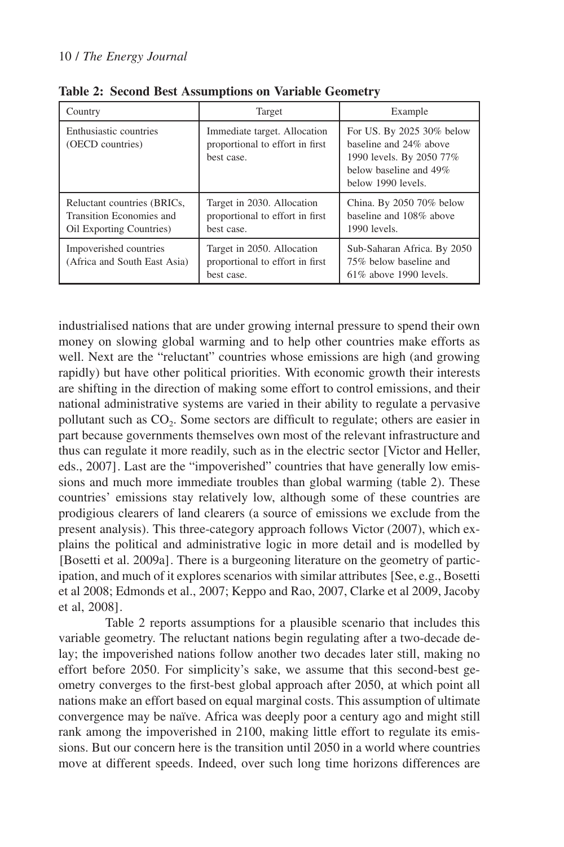| Country                                                                             | Target                                                                        | Example                                                                                                                         |  |
|-------------------------------------------------------------------------------------|-------------------------------------------------------------------------------|---------------------------------------------------------------------------------------------------------------------------------|--|
| Enthusiastic countries<br>(OECD countries)                                          | Immediate target. Allocation<br>proportional to effort in first<br>best case. | For US. By 2025 30% below<br>baseline and 24% above<br>1990 levels. By 2050 77%<br>below baseline and 49%<br>below 1990 levels. |  |
| Reluctant countries (BRICs,<br>Transition Economies and<br>Oil Exporting Countries) | Target in 2030. Allocation<br>proportional to effort in first<br>best case.   | China. By 2050 70% below<br>baseline and 108% above<br>$1990$ levels.                                                           |  |
| Impoverished countries<br>(Africa and South East Asia)                              | Target in 2050. Allocation<br>proportional to effort in first<br>best case.   | Sub-Saharan Africa. By 2050<br>75% below baseline and<br>$61\%$ above 1990 levels.                                              |  |

**Table 2: Second Best Assumptions on Variable Geometry**

industrialised nations that are under growing internal pressure to spend their own money on slowing global warming and to help other countries make efforts as well. Next are the "reluctant" countries whose emissions are high (and growing rapidly) but have other political priorities. With economic growth their interests are shifting in the direction of making some effort to control emissions, and their national administrative systems are varied in their ability to regulate a pervasive pollutant such as CO<sub>2</sub>. Some sectors are difficult to regulate; others are easier in part because governments themselves own most of the relevant infrastructure and thus can regulate it more readily, such as in the electric sector [Victor and Heller, eds., 2007]. Last are the "impoverished" countries that have generally low emissions and much more immediate troubles than global warming (table 2). These countries' emissions stay relatively low, although some of these countries are prodigious clearers of land clearers (a source of emissions we exclude from the present analysis). This three-category approach follows Victor (2007), which explains the political and administrative logic in more detail and is modelled by [Bosetti et al. 2009a]. There is a burgeoning literature on the geometry of participation, and much of it explores scenarios with similar attributes [See, e.g., Bosetti et al 2008; Edmonds et al., 2007; Keppo and Rao, 2007, Clarke et al 2009, Jacoby et al, 2008].

Table 2 reports assumptions for a plausible scenario that includes this variable geometry. The reluctant nations begin regulating after a two-decade delay; the impoverished nations follow another two decades later still, making no effort before 2050. For simplicity's sake, we assume that this second-best geometry converges to the first-best global approach after 2050, at which point all nations make an effort based on equal marginal costs. This assumption of ultimate convergence may be naïve. Africa was deeply poor a century ago and might still rank among the impoverished in 2100, making little effort to regulate its emissions. But our concern here is the transition until 2050 in a world where countries move at different speeds. Indeed, over such long time horizons differences are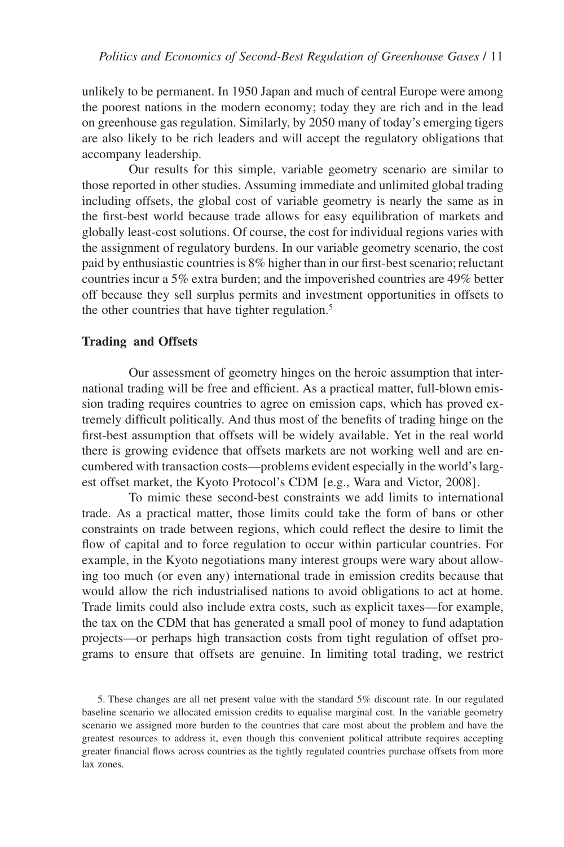unlikely to be permanent. In 1950 Japan and much of central Europe were among the poorest nations in the modern economy; today they are rich and in the lead on greenhouse gas regulation. Similarly, by 2050 many of today's emerging tigers are also likely to be rich leaders and will accept the regulatory obligations that accompany leadership.

Our results for this simple, variable geometry scenario are similar to those reported in other studies. Assuming immediate and unlimited global trading including offsets, the global cost of variable geometry is nearly the same as in the first-best world because trade allows for easy equilibration of markets and globally least-cost solutions. Of course, the cost for individual regions varies with the assignment of regulatory burdens. In our variable geometry scenario, the cost paid by enthusiastic countries is 8% higher than in our first-best scenario; reluctant countries incur a 5% extra burden; and the impoverished countries are 49% better off because they sell surplus permits and investment opportunities in offsets to the other countries that have tighter regulation.<sup>5</sup>

#### **Trading and Offsets**

Our assessment of geometry hinges on the heroic assumption that international trading will be free and efficient. As a practical matter, full-blown emission trading requires countries to agree on emission caps, which has proved extremely difficult politically. And thus most of the benefits of trading hinge on the first-best assumption that offsets will be widely available. Yet in the real world there is growing evidence that offsets markets are not working well and are encumbered with transaction costs—problems evident especially in the world's largest offset market, the Kyoto Protocol's CDM [e.g., Wara and Victor, 2008].

To mimic these second-best constraints we add limits to international trade. As a practical matter, those limits could take the form of bans or other constraints on trade between regions, which could reflect the desire to limit the flow of capital and to force regulation to occur within particular countries. For example, in the Kyoto negotiations many interest groups were wary about allowing too much (or even any) international trade in emission credits because that would allow the rich industrialised nations to avoid obligations to act at home. Trade limits could also include extra costs, such as explicit taxes—for example, the tax on the CDM that has generated a small pool of money to fund adaptation projects—or perhaps high transaction costs from tight regulation of offset programs to ensure that offsets are genuine. In limiting total trading, we restrict

5. These changes are all net present value with the standard 5% discount rate. In our regulated baseline scenario we allocated emission credits to equalise marginal cost. In the variable geometry scenario we assigned more burden to the countries that care most about the problem and have the greatest resources to address it, even though this convenient political attribute requires accepting greater financial flows across countries as the tightly regulated countries purchase offsets from more lax zones.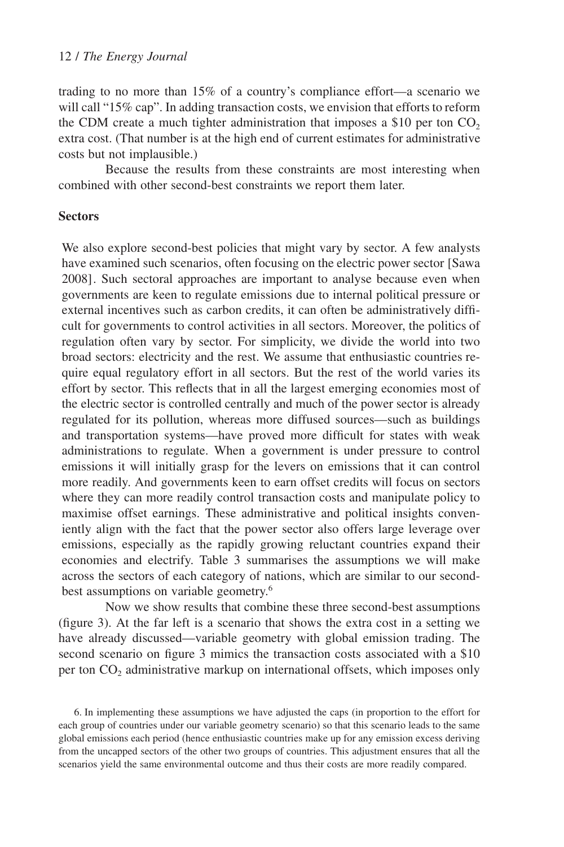trading to no more than 15% of a country's compliance effort—a scenario we will call "15% cap". In adding transaction costs, we envision that efforts to reform the CDM create a much tighter administration that imposes a \$10 per ton  $CO<sub>2</sub>$ extra cost. (That number is at the high end of current estimates for administrative costs but not implausible.)

Because the results from these constraints are most interesting when combined with other second-best constraints we report them later.

### **Sectors**

We also explore second-best policies that might vary by sector. A few analysts have examined such scenarios, often focusing on the electric power sector [Sawa 2008]. Such sectoral approaches are important to analyse because even when governments are keen to regulate emissions due to internal political pressure or external incentives such as carbon credits, it can often be administratively difficult for governments to control activities in all sectors. Moreover, the politics of regulation often vary by sector. For simplicity, we divide the world into two broad sectors: electricity and the rest. We assume that enthusiastic countries require equal regulatory effort in all sectors. But the rest of the world varies its effort by sector. This reflects that in all the largest emerging economies most of the electric sector is controlled centrally and much of the power sector is already regulated for its pollution, whereas more diffused sources—such as buildings and transportation systems—have proved more difficult for states with weak administrations to regulate. When a government is under pressure to control emissions it will initially grasp for the levers on emissions that it can control more readily. And governments keen to earn offset credits will focus on sectors where they can more readily control transaction costs and manipulate policy to maximise offset earnings. These administrative and political insights conveniently align with the fact that the power sector also offers large leverage over emissions, especially as the rapidly growing reluctant countries expand their economies and electrify. Table 3 summarises the assumptions we will make across the sectors of each category of nations, which are similar to our secondbest assumptions on variable geometry.<sup>6</sup>

Now we show results that combine these three second-best assumptions (figure 3). At the far left is a scenario that shows the extra cost in a setting we have already discussed—variable geometry with global emission trading. The second scenario on figure 3 mimics the transaction costs associated with a \$10 per ton  $CO<sub>2</sub>$  administrative markup on international offsets, which imposes only

6. In implementing these assumptions we have adjusted the caps (in proportion to the effort for each group of countries under our variable geometry scenario) so that this scenario leads to the same global emissions each period (hence enthusiastic countries make up for any emission excess deriving from the uncapped sectors of the other two groups of countries. This adjustment ensures that all the scenarios yield the same environmental outcome and thus their costs are more readily compared.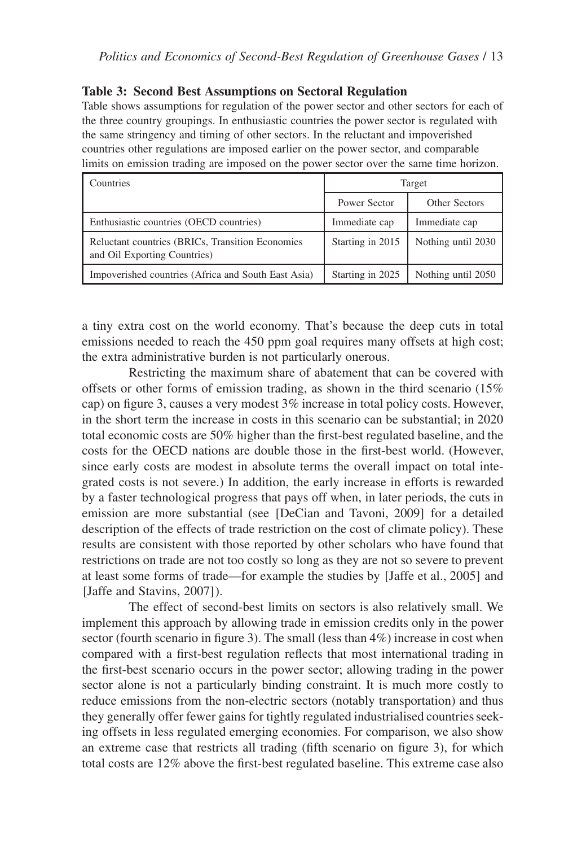### **Table 3: Second Best Assumptions on Sectoral Regulation**

Table shows assumptions for regulation of the power sector and other sectors for each of the three country groupings. In enthusiastic countries the power sector is regulated with the same stringency and timing of other sectors. In the reluctant and impoverished countries other regulations are imposed earlier on the power sector, and comparable limits on emission trading are imposed on the power sector over the same time horizon.

| Countries                                                                         | Target           |                    |  |
|-----------------------------------------------------------------------------------|------------------|--------------------|--|
|                                                                                   | Power Sector     | Other Sectors      |  |
| Enthusiastic countries (OECD countries)                                           | Immediate cap    | Immediate cap      |  |
| Reluctant countries (BRICs, Transition Economies)<br>and Oil Exporting Countries) | Starting in 2015 | Nothing until 2030 |  |
| Impoverished countries (Africa and South East Asia)                               | Starting in 2025 | Nothing until 2050 |  |

a tiny extra cost on the world economy. That's because the deep cuts in total emissions needed to reach the 450 ppm goal requires many offsets at high cost; the extra administrative burden is not particularly onerous.

Restricting the maximum share of abatement that can be covered with offsets or other forms of emission trading, as shown in the third scenario (15% cap) on figure 3, causes a very modest 3% increase in total policy costs. However, in the short term the increase in costs in this scenario can be substantial; in 2020 total economic costs are 50% higher than the first-best regulated baseline, and the costs for the OECD nations are double those in the first-best world. (However, since early costs are modest in absolute terms the overall impact on total integrated costs is not severe.) In addition, the early increase in efforts is rewarded by a faster technological progress that pays off when, in later periods, the cuts in emission are more substantial (see [DeCian and Tavoni, 2009] for a detailed description of the effects of trade restriction on the cost of climate policy). These results are consistent with those reported by other scholars who have found that restrictions on trade are not too costly so long as they are not so severe to prevent at least some forms of trade—for example the studies by [Jaffe et al., 2005] and [Jaffe and Stavins, 2007]).

The effect of second-best limits on sectors is also relatively small. We implement this approach by allowing trade in emission credits only in the power sector (fourth scenario in figure 3). The small (less than 4%) increase in cost when compared with a first-best regulation reflects that most international trading in the first-best scenario occurs in the power sector; allowing trading in the power sector alone is not a particularly binding constraint. It is much more costly to reduce emissions from the non-electric sectors (notably transportation) and thus they generally offer fewer gains for tightly regulated industrialised countries seeking offsets in less regulated emerging economies. For comparison, we also show an extreme case that restricts all trading (fifth scenario on figure 3), for which total costs are 12% above the first-best regulated baseline. This extreme case also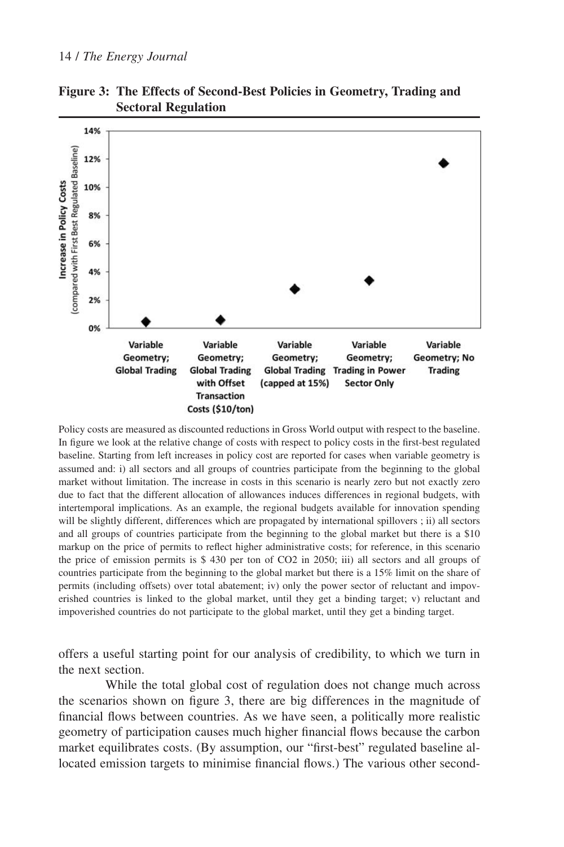#### 14 / *The Energy Journal*



**Figure 3: The Effects of Second-Best Policies in Geometry, Trading and Sectoral Regulation**

Policy costs are measured as discounted reductions in Gross World output with respect to the baseline. In figure we look at the relative change of costs with respect to policy costs in the first-best regulated baseline. Starting from left increases in policy cost are reported for cases when variable geometry is assumed and: i) all sectors and all groups of countries participate from the beginning to the global market without limitation. The increase in costs in this scenario is nearly zero but not exactly zero due to fact that the different allocation of allowances induces differences in regional budgets, with intertemporal implications. As an example, the regional budgets available for innovation spending will be slightly different, differences which are propagated by international spillovers; ii) all sectors and all groups of countries participate from the beginning to the global market but there is a \$10 markup on the price of permits to reflect higher administrative costs; for reference, in this scenario the price of emission permits is \$ 430 per ton of CO2 in 2050; iii) all sectors and all groups of countries participate from the beginning to the global market but there is a 15% limit on the share of permits (including offsets) over total abatement; iv) only the power sector of reluctant and impoverished countries is linked to the global market, until they get a binding target; v) reluctant and impoverished countries do not participate to the global market, until they get a binding target.

offers a useful starting point for our analysis of credibility, to which we turn in the next section.

While the total global cost of regulation does not change much across the scenarios shown on figure 3, there are big differences in the magnitude of financial flows between countries. As we have seen, a politically more realistic geometry of participation causes much higher financial flows because the carbon market equilibrates costs. (By assumption, our "first-best" regulated baseline allocated emission targets to minimise financial flows.) The various other second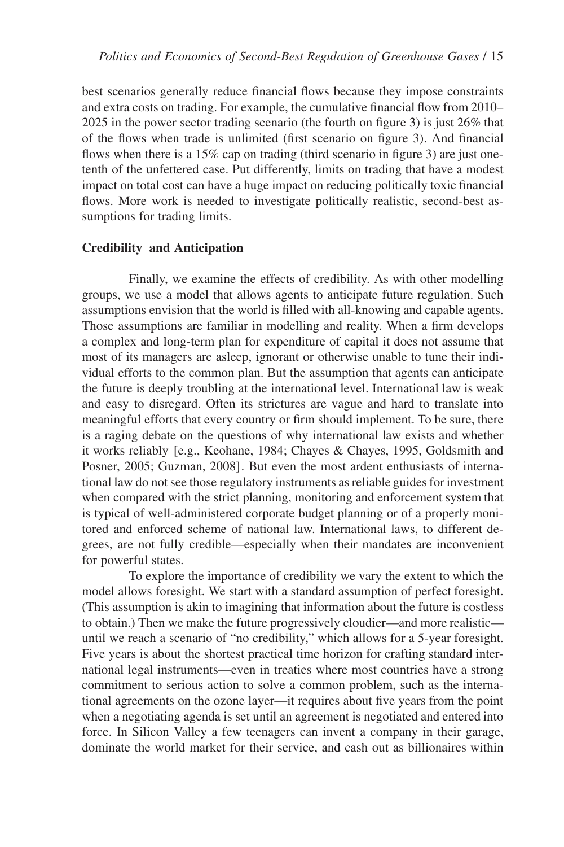best scenarios generally reduce financial flows because they impose constraints and extra costs on trading. For example, the cumulative financial flow from 2010– 2025 in the power sector trading scenario (the fourth on figure 3) is just 26% that of the flows when trade is unlimited (first scenario on figure 3). And financial flows when there is a 15% cap on trading (third scenario in figure 3) are just onetenth of the unfettered case. Put differently, limits on trading that have a modest impact on total cost can have a huge impact on reducing politically toxic financial flows. More work is needed to investigate politically realistic, second-best assumptions for trading limits.

#### **Credibility and Anticipation**

Finally, we examine the effects of credibility. As with other modelling groups, we use a model that allows agents to anticipate future regulation. Such assumptions envision that the world is filled with all-knowing and capable agents. Those assumptions are familiar in modelling and reality. When a firm develops a complex and long-term plan for expenditure of capital it does not assume that most of its managers are asleep, ignorant or otherwise unable to tune their individual efforts to the common plan. But the assumption that agents can anticipate the future is deeply troubling at the international level. International law is weak and easy to disregard. Often its strictures are vague and hard to translate into meaningful efforts that every country or firm should implement. To be sure, there is a raging debate on the questions of why international law exists and whether it works reliably [e.g., Keohane, 1984; Chayes & Chayes, 1995, Goldsmith and Posner, 2005; Guzman, 2008]. But even the most ardent enthusiasts of international law do not see those regulatory instruments as reliable guides for investment when compared with the strict planning, monitoring and enforcement system that is typical of well-administered corporate budget planning or of a properly monitored and enforced scheme of national law. International laws, to different degrees, are not fully credible—especially when their mandates are inconvenient for powerful states.

To explore the importance of credibility we vary the extent to which the model allows foresight. We start with a standard assumption of perfect foresight. (This assumption is akin to imagining that information about the future is costless to obtain.) Then we make the future progressively cloudier—and more realistic until we reach a scenario of "no credibility," which allows for a 5-year foresight. Five years is about the shortest practical time horizon for crafting standard international legal instruments—even in treaties where most countries have a strong commitment to serious action to solve a common problem, such as the international agreements on the ozone layer—it requires about five years from the point when a negotiating agenda is set until an agreement is negotiated and entered into force. In Silicon Valley a few teenagers can invent a company in their garage, dominate the world market for their service, and cash out as billionaires within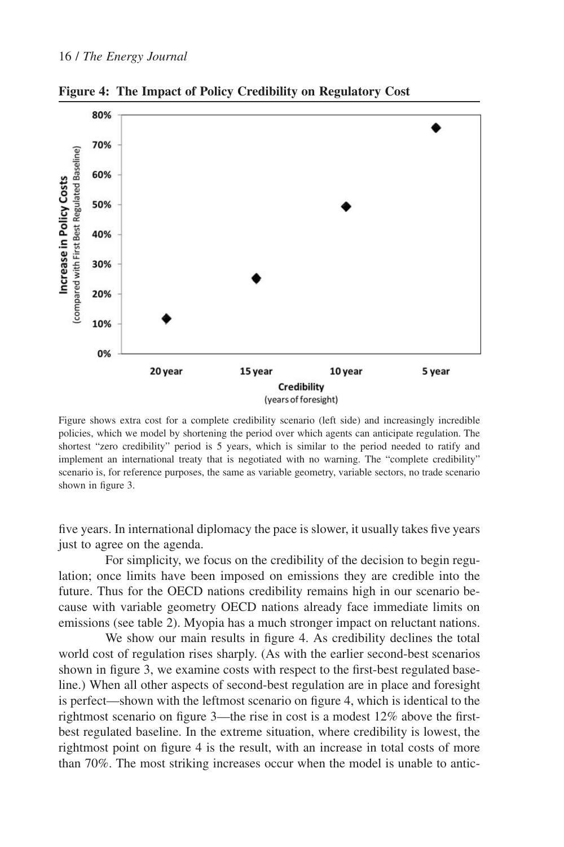

**Figure 4: The Impact of Policy Credibility on Regulatory Cost**

Figure shows extra cost for a complete credibility scenario (left side) and increasingly incredible policies, which we model by shortening the period over which agents can anticipate regulation. The shortest "zero credibility" period is 5 years, which is similar to the period needed to ratify and implement an international treaty that is negotiated with no warning. The "complete credibility" scenario is, for reference purposes, the same as variable geometry, variable sectors, no trade scenario shown in figure 3.

five years. In international diplomacy the pace is slower, it usually takes five years just to agree on the agenda.

For simplicity, we focus on the credibility of the decision to begin regulation; once limits have been imposed on emissions they are credible into the future. Thus for the OECD nations credibility remains high in our scenario because with variable geometry OECD nations already face immediate limits on emissions (see table 2). Myopia has a much stronger impact on reluctant nations.

We show our main results in figure 4. As credibility declines the total world cost of regulation rises sharply. (As with the earlier second-best scenarios shown in figure 3, we examine costs with respect to the first-best regulated baseline.) When all other aspects of second-best regulation are in place and foresight is perfect—shown with the leftmost scenario on figure 4, which is identical to the rightmost scenario on figure 3—the rise in cost is a modest 12% above the firstbest regulated baseline. In the extreme situation, where credibility is lowest, the rightmost point on figure 4 is the result, with an increase in total costs of more than 70%. The most striking increases occur when the model is unable to antic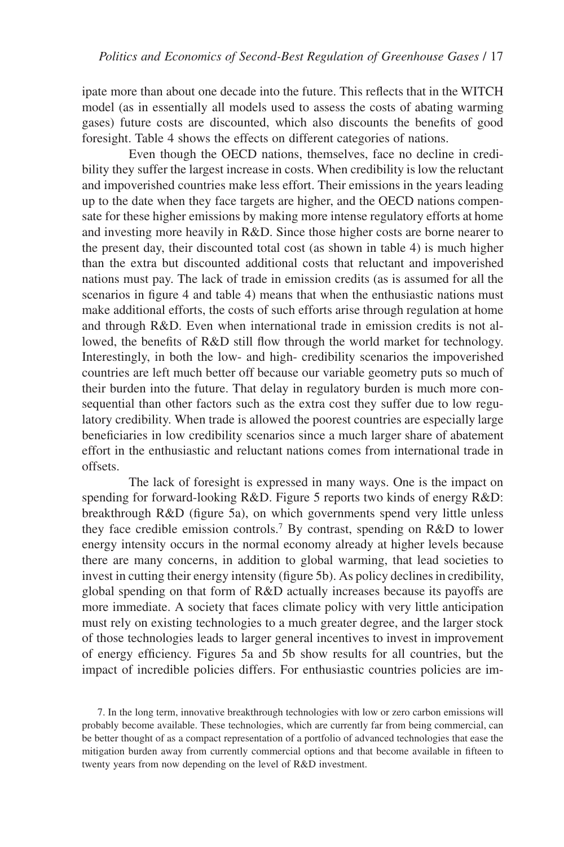ipate more than about one decade into the future. This reflects that in the WITCH model (as in essentially all models used to assess the costs of abating warming gases) future costs are discounted, which also discounts the benefits of good foresight. Table 4 shows the effects on different categories of nations.

Even though the OECD nations, themselves, face no decline in credibility they suffer the largest increase in costs. When credibility is low the reluctant and impoverished countries make less effort. Their emissions in the years leading up to the date when they face targets are higher, and the OECD nations compensate for these higher emissions by making more intense regulatory efforts at home and investing more heavily in R&D. Since those higher costs are borne nearer to the present day, their discounted total cost (as shown in table 4) is much higher than the extra but discounted additional costs that reluctant and impoverished nations must pay. The lack of trade in emission credits (as is assumed for all the scenarios in figure 4 and table 4) means that when the enthusiastic nations must make additional efforts, the costs of such efforts arise through regulation at home and through R&D. Even when international trade in emission credits is not allowed, the benefits of R&D still flow through the world market for technology. Interestingly, in both the low- and high- credibility scenarios the impoverished countries are left much better off because our variable geometry puts so much of their burden into the future. That delay in regulatory burden is much more consequential than other factors such as the extra cost they suffer due to low regulatory credibility. When trade is allowed the poorest countries are especially large beneficiaries in low credibility scenarios since a much larger share of abatement effort in the enthusiastic and reluctant nations comes from international trade in offsets.

The lack of foresight is expressed in many ways. One is the impact on spending for forward-looking R&D. Figure 5 reports two kinds of energy R&D: breakthrough R&D (figure 5a), on which governments spend very little unless they face credible emission controls.7 By contrast, spending on R&D to lower energy intensity occurs in the normal economy already at higher levels because there are many concerns, in addition to global warming, that lead societies to invest in cutting their energy intensity (figure 5b). As policy declines in credibility, global spending on that form of R&D actually increases because its payoffs are more immediate. A society that faces climate policy with very little anticipation must rely on existing technologies to a much greater degree, and the larger stock of those technologies leads to larger general incentives to invest in improvement of energy efficiency. Figures 5a and 5b show results for all countries, but the impact of incredible policies differs. For enthusiastic countries policies are im-

7. In the long term, innovative breakthrough technologies with low or zero carbon emissions will probably become available. These technologies, which are currently far from being commercial, can be better thought of as a compact representation of a portfolio of advanced technologies that ease the mitigation burden away from currently commercial options and that become available in fifteen to twenty years from now depending on the level of R&D investment.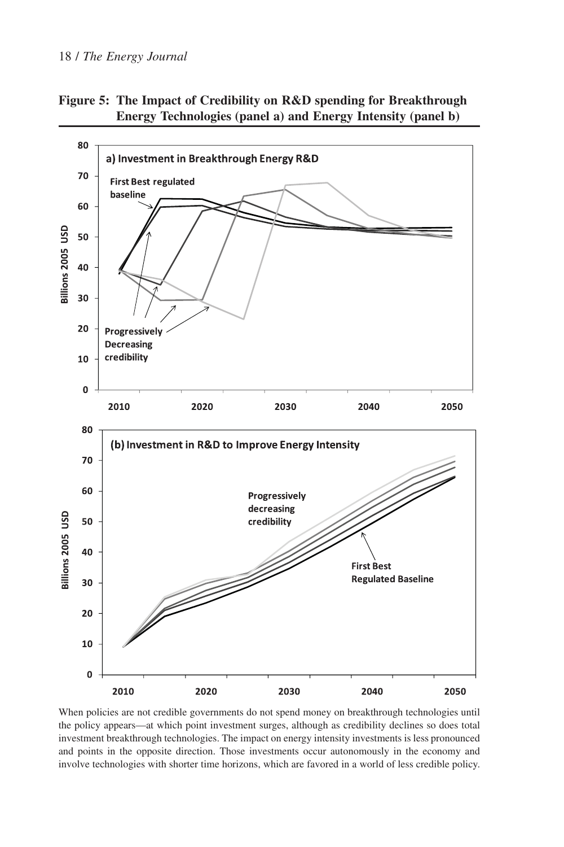#### 18 / *The Energy Journal*

**Figure 5: The Impact of Credibility on R&D spending for Breakthrough Energy Technologies (panel a) and Energy Intensity (panel b)**



When policies are not credible governments do not spend money on breakthrough technologies until the policy appears—at which point investment surges, although as credibility declines so does total investment breakthrough technologies. The impact on energy intensity investments is less pronounced and points in the opposite direction. Those investments occur autonomously in the economy and involve technologies with shorter time horizons, which are favored in a world of less credible policy.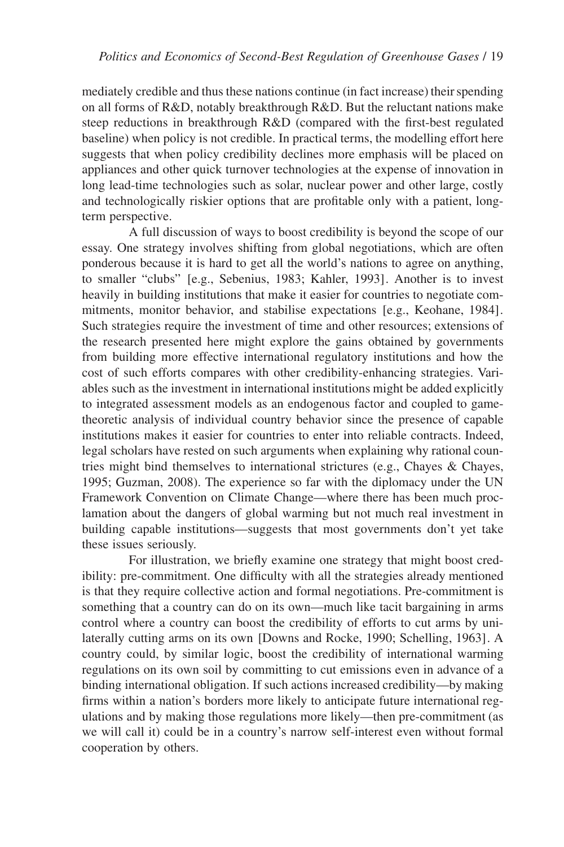mediately credible and thus these nations continue (in fact increase) their spending on all forms of R&D, notably breakthrough R&D. But the reluctant nations make steep reductions in breakthrough R&D (compared with the first-best regulated baseline) when policy is not credible. In practical terms, the modelling effort here suggests that when policy credibility declines more emphasis will be placed on appliances and other quick turnover technologies at the expense of innovation in long lead-time technologies such as solar, nuclear power and other large, costly and technologically riskier options that are profitable only with a patient, longterm perspective.

A full discussion of ways to boost credibility is beyond the scope of our essay. One strategy involves shifting from global negotiations, which are often ponderous because it is hard to get all the world's nations to agree on anything, to smaller "clubs" [e.g., Sebenius, 1983; Kahler, 1993]. Another is to invest heavily in building institutions that make it easier for countries to negotiate commitments, monitor behavior, and stabilise expectations [e.g., Keohane, 1984]. Such strategies require the investment of time and other resources; extensions of the research presented here might explore the gains obtained by governments from building more effective international regulatory institutions and how the cost of such efforts compares with other credibility-enhancing strategies. Variables such as the investment in international institutions might be added explicitly to integrated assessment models as an endogenous factor and coupled to gametheoretic analysis of individual country behavior since the presence of capable institutions makes it easier for countries to enter into reliable contracts. Indeed, legal scholars have rested on such arguments when explaining why rational countries might bind themselves to international strictures (e.g., Chayes & Chayes, 1995; Guzman, 2008). The experience so far with the diplomacy under the UN Framework Convention on Climate Change—where there has been much proclamation about the dangers of global warming but not much real investment in building capable institutions—suggests that most governments don't yet take these issues seriously.

For illustration, we briefly examine one strategy that might boost credibility: pre-commitment. One difficulty with all the strategies already mentioned is that they require collective action and formal negotiations. Pre-commitment is something that a country can do on its own—much like tacit bargaining in arms control where a country can boost the credibility of efforts to cut arms by unilaterally cutting arms on its own [Downs and Rocke, 1990; Schelling, 1963]. A country could, by similar logic, boost the credibility of international warming regulations on its own soil by committing to cut emissions even in advance of a binding international obligation. If such actions increased credibility—by making firms within a nation's borders more likely to anticipate future international regulations and by making those regulations more likely—then pre-commitment (as we will call it) could be in a country's narrow self-interest even without formal cooperation by others.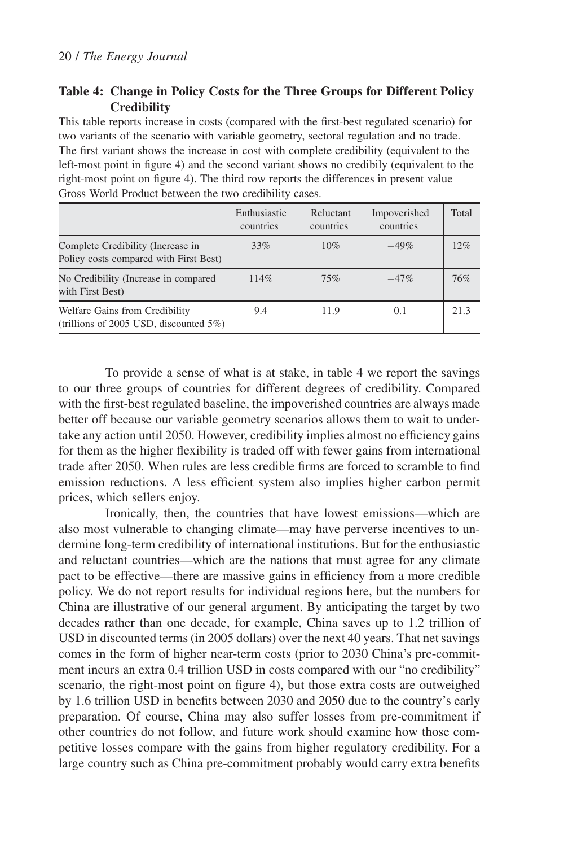## **Table 4: Change in Policy Costs for the Three Groups for Different Policy Credibility**

This table reports increase in costs (compared with the first-best regulated scenario) for two variants of the scenario with variable geometry, sectoral regulation and no trade. The first variant shows the increase in cost with complete credibility (equivalent to the left-most point in figure 4) and the second variant shows no credibily (equivalent to the right-most point on figure 4). The third row reports the differences in present value Gross World Product between the two credibility cases.

|                                                                              | Enthusiastic<br>countries | Reluctant<br>countries | Impoverished<br>countries | Total |
|------------------------------------------------------------------------------|---------------------------|------------------------|---------------------------|-------|
| Complete Credibility (Increase in<br>Policy costs compared with First Best)  | 33%                       | 10%                    | $-49%$                    | 12%   |
| No Credibility (Increase in compared<br>with First Best)                     | 114%                      | 75%                    | $-47%$                    | 76%   |
| Welfare Gains from Credibility<br>(trillions of 2005 USD, discounted $5\%$ ) | 9.4                       | 11.9                   | 0.1                       | 21.3  |

To provide a sense of what is at stake, in table 4 we report the savings to our three groups of countries for different degrees of credibility. Compared with the first-best regulated baseline, the impoverished countries are always made better off because our variable geometry scenarios allows them to wait to undertake any action until 2050. However, credibility implies almost no efficiency gains for them as the higher flexibility is traded off with fewer gains from international trade after 2050. When rules are less credible firms are forced to scramble to find emission reductions. A less efficient system also implies higher carbon permit prices, which sellers enjoy.

Ironically, then, the countries that have lowest emissions—which are also most vulnerable to changing climate—may have perverse incentives to undermine long-term credibility of international institutions. But for the enthusiastic and reluctant countries—which are the nations that must agree for any climate pact to be effective—there are massive gains in efficiency from a more credible policy. We do not report results for individual regions here, but the numbers for China are illustrative of our general argument. By anticipating the target by two decades rather than one decade, for example, China saves up to 1.2 trillion of USD in discounted terms (in 2005 dollars) over the next 40 years. That net savings comes in the form of higher near-term costs (prior to 2030 China's pre-commitment incurs an extra 0.4 trillion USD in costs compared with our "no credibility" scenario, the right-most point on figure 4), but those extra costs are outweighed by 1.6 trillion USD in benefits between 2030 and 2050 due to the country's early preparation. Of course, China may also suffer losses from pre-commitment if other countries do not follow, and future work should examine how those competitive losses compare with the gains from higher regulatory credibility. For a large country such as China pre-commitment probably would carry extra benefits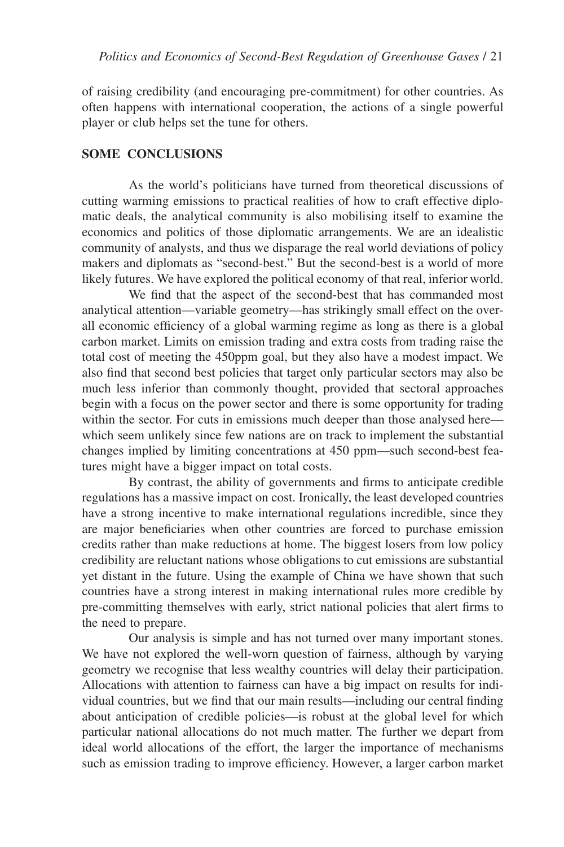of raising credibility (and encouraging pre-commitment) for other countries. As often happens with international cooperation, the actions of a single powerful player or club helps set the tune for others.

### **SOME CONCLUSIONS**

As the world's politicians have turned from theoretical discussions of cutting warming emissions to practical realities of how to craft effective diplomatic deals, the analytical community is also mobilising itself to examine the economics and politics of those diplomatic arrangements. We are an idealistic community of analysts, and thus we disparage the real world deviations of policy makers and diplomats as "second-best." But the second-best is a world of more likely futures. We have explored the political economy of that real, inferior world.

We find that the aspect of the second-best that has commanded most analytical attention—variable geometry—has strikingly small effect on the overall economic efficiency of a global warming regime as long as there is a global carbon market. Limits on emission trading and extra costs from trading raise the total cost of meeting the 450ppm goal, but they also have a modest impact. We also find that second best policies that target only particular sectors may also be much less inferior than commonly thought, provided that sectoral approaches begin with a focus on the power sector and there is some opportunity for trading within the sector. For cuts in emissions much deeper than those analysed here which seem unlikely since few nations are on track to implement the substantial changes implied by limiting concentrations at 450 ppm—such second-best features might have a bigger impact on total costs.

By contrast, the ability of governments and firms to anticipate credible regulations has a massive impact on cost. Ironically, the least developed countries have a strong incentive to make international regulations incredible, since they are major beneficiaries when other countries are forced to purchase emission credits rather than make reductions at home. The biggest losers from low policy credibility are reluctant nations whose obligations to cut emissions are substantial yet distant in the future. Using the example of China we have shown that such countries have a strong interest in making international rules more credible by pre-committing themselves with early, strict national policies that alert firms to the need to prepare.

Our analysis is simple and has not turned over many important stones. We have not explored the well-worn question of fairness, although by varying geometry we recognise that less wealthy countries will delay their participation. Allocations with attention to fairness can have a big impact on results for individual countries, but we find that our main results—including our central finding about anticipation of credible policies—is robust at the global level for which particular national allocations do not much matter. The further we depart from ideal world allocations of the effort, the larger the importance of mechanisms such as emission trading to improve efficiency. However, a larger carbon market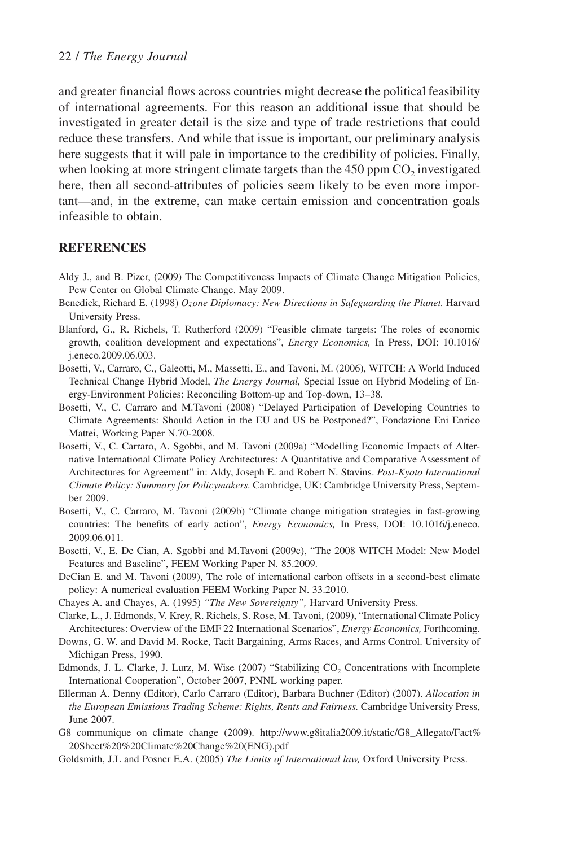and greater financial flows across countries might decrease the political feasibility of international agreements. For this reason an additional issue that should be investigated in greater detail is the size and type of trade restrictions that could reduce these transfers. And while that issue is important, our preliminary analysis here suggests that it will pale in importance to the credibility of policies. Finally, when looking at more stringent climate targets than the  $450$  ppm  $CO<sub>2</sub>$  investigated here, then all second-attributes of policies seem likely to be even more important—and, in the extreme, can make certain emission and concentration goals infeasible to obtain.

### **REFERENCES**

- Aldy J., and B. Pizer, (2009) The Competitiveness Impacts of Climate Change Mitigation Policies, Pew Center on Global Climate Change. May 2009.
- Benedick, Richard E. (1998) *Ozone Diplomacy: New Directions in Safeguarding the Planet.* Harvard University Press.
- Blanford, G., R. Richels, T. Rutherford (2009) "Feasible climate targets: The roles of economic growth, coalition development and expectations", *Energy Economics,* In Press, DOI: 10.1016/ j.eneco.2009.06.003.
- Bosetti, V., Carraro, C., Galeotti, M., Massetti, E., and Tavoni, M. (2006), WITCH: A World Induced Technical Change Hybrid Model, *The Energy Journal,* Special Issue on Hybrid Modeling of Energy-Environment Policies: Reconciling Bottom-up and Top-down, 13–38.
- Bosetti, V., C. Carraro and M.Tavoni (2008) "Delayed Participation of Developing Countries to Climate Agreements: Should Action in the EU and US be Postponed?", Fondazione Eni Enrico Mattei, Working Paper N.70-2008.
- Bosetti, V., C. Carraro, A. Sgobbi, and M. Tavoni (2009a) "Modelling Economic Impacts of Alternative International Climate Policy Architectures: A Quantitative and Comparative Assessment of Architectures for Agreement" in: Aldy, Joseph E. and Robert N. Stavins. *Post-Kyoto International Climate Policy: Summary for Policymakers.* Cambridge, UK: Cambridge University Press, September 2009.
- Bosetti, V., C. Carraro, M. Tavoni (2009b) "Climate change mitigation strategies in fast-growing countries: The benefits of early action", *Energy Economics,* In Press, DOI: 10.1016/j.eneco. 2009.06.011.
- Bosetti, V., E. De Cian, A. Sgobbi and M.Tavoni (2009c), "The 2008 WITCH Model: New Model Features and Baseline", FEEM Working Paper N. 85.2009.
- DeCian E. and M. Tavoni (2009), The role of international carbon offsets in a second-best climate policy: A numerical evaluation FEEM Working Paper N. 33.2010.
- Chayes A. and Chayes, A. (1995) *"The New Sovereignty",* Harvard University Press.
- Clarke, L., J. Edmonds, V. Krey, R. Richels, S. Rose, M. Tavoni, (2009), "International Climate Policy Architectures: Overview of the EMF 22 International Scenarios", *Energy Economics,* Forthcoming.
- Downs, G. W. and David M. Rocke, Tacit Bargaining, Arms Races, and Arms Control. University of Michigan Press, 1990.
- Edmonds, J. L. Clarke, J. Lurz, M. Wise (2007) "Stabilizing CO, Concentrations with Incomplete International Cooperation", October 2007, PNNL working paper.
- Ellerman A. Denny (Editor), Carlo Carraro (Editor), Barbara Buchner (Editor) (2007). *Allocation in the European Emissions Trading Scheme: Rights, Rents and Fairness.* Cambridge University Press, June 2007.
- G8 communique on climate change (2009). http://www.g8italia2009.it/static/G8\_Allegato/Fact% 20Sheet%20%20Climate%20Change%20(ENG).pdf
- Goldsmith, J.L and Posner E.A. (2005) *The Limits of International law,* Oxford University Press.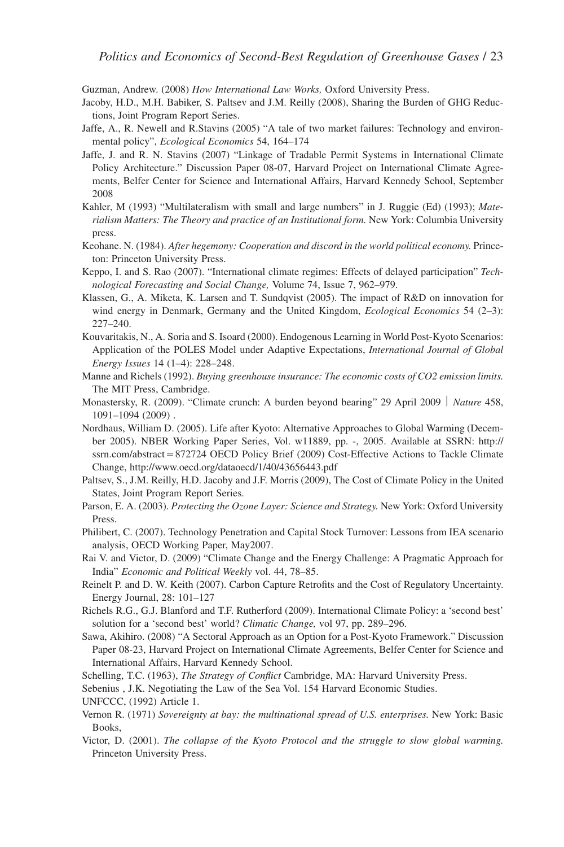Guzman, Andrew. (2008) *How International Law Works,* Oxford University Press.

- Jacoby, H.D., M.H. Babiker, S. Paltsev and J.M. Reilly (2008), Sharing the Burden of GHG Reductions, Joint Program Report Series.
- Jaffe, A., R. Newell and R.Stavins (2005) "A tale of two market failures: Technology and environmental policy", *Ecological Economics* 54, 164–174
- Jaffe, J. and R. N. Stavins (2007) "Linkage of Tradable Permit Systems in International Climate Policy Architecture." Discussion Paper 08-07, Harvard Project on International Climate Agreements, Belfer Center for Science and International Affairs, Harvard Kennedy School, September 2008
- Kahler, M (1993) "Multilateralism with small and large numbers" in J. Ruggie (Ed) (1993); *Materialism Matters: The Theory and practice of an Institutional form.* New York: Columbia University press.
- Keohane. N. (1984). *After hegemony: Cooperation and discord in the world political economy.* Princeton: Princeton University Press.
- Keppo, I. and S. Rao (2007). "International climate regimes: Effects of delayed participation" *Technological Forecasting and Social Change,* Volume 74, Issue 7, 962–979.
- Klassen, G., A. Miketa, K. Larsen and T. Sundqvist (2005). The impact of R&D on innovation for wind energy in Denmark, Germany and the United Kingdom, *Ecological Economics* 54 (2–3): 227–240.
- Kouvaritakis, N., A. Soria and S. Isoard (2000). Endogenous Learning in World Post-Kyoto Scenarios: Application of the POLES Model under Adaptive Expectations, *International Journal of Global Energy Issues* 14 (1–4): 228–248.
- Manne and Richels (1992). *Buying greenhouse insurance: The economic costs of CO2 emission limits.* The MIT Press, Cambridge.
- Monastersky, R. (2009). "Climate crunch: A burden beyond bearing" 29 April 2009 | Nature 458, 1091–1094 (2009) .
- Nordhaus, William D. (2005). Life after Kyoto: Alternative Approaches to Global Warming (December 2005). NBER Working Paper Series, Vol. w11889, pp. -, 2005. Available at SSRN: http://  $s$ ssrn.com/abstract=872724 OECD Policy Brief (2009) Cost-Effective Actions to Tackle Climate Change, http://www.oecd.org/dataoecd/1/40/43656443.pdf
- Paltsev, S., J.M. Reilly, H.D. Jacoby and J.F. Morris (2009), The Cost of Climate Policy in the United States, Joint Program Report Series.
- Parson, E. A. (2003). *Protecting the Ozone Layer: Science and Strategy.* New York: Oxford University Press.
- Philibert, C. (2007). Technology Penetration and Capital Stock Turnover: Lessons from IEA scenario analysis, OECD Working Paper, May2007.
- Rai V. and Victor, D. (2009) "Climate Change and the Energy Challenge: A Pragmatic Approach for India" *Economic and Political Weekly* vol. 44, 78–85.
- Reinelt P. and D. W. Keith (2007). Carbon Capture Retrofits and the Cost of Regulatory Uncertainty. Energy Journal, 28: 101–127
- Richels R.G., G.J. Blanford and T.F. Rutherford (2009). International Climate Policy: a 'second best' solution for a 'second best' world? *Climatic Change,* vol 97, pp. 289–296.
- Sawa, Akihiro. (2008) "A Sectoral Approach as an Option for a Post-Kyoto Framework." Discussion Paper 08-23, Harvard Project on International Climate Agreements, Belfer Center for Science and International Affairs, Harvard Kennedy School.
- Schelling, T.C. (1963), *The Strategy of Conflict* Cambridge, MA: Harvard University Press.

Sebenius , J.K. Negotiating the Law of the Sea Vol. 154 Harvard Economic Studies.

- UNFCCC, (1992) Article 1.
- Vernon R. (1971) *Sovereignty at bay: the multinational spread of U.S. enterprises.* New York: Basic Books,
- Victor, D. (2001). *The collapse of the Kyoto Protocol and the struggle to slow global warming.* Princeton University Press.